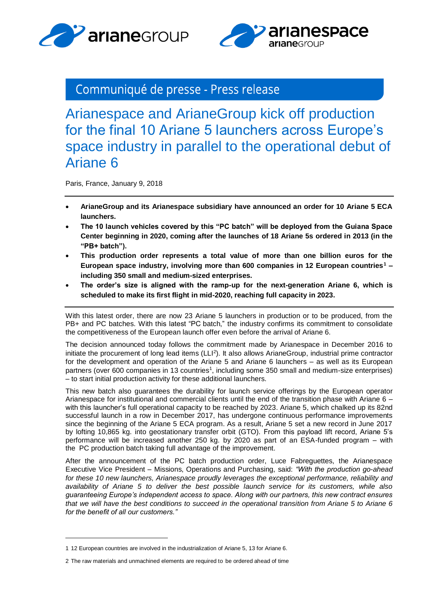



## Communiqué de presse - Press release

Arianespace and ArianeGroup kick off production for the final 10 Ariane 5 launchers across Europe's space industry in parallel to the operational debut of Ariane 6

Paris, France, January 9, 2018

- **ArianeGroup and its Arianespace subsidiary have announced an order for 10 Ariane 5 ECA launchers.**
- **The 10 launch vehicles covered by this "PC batch" will be deployed from the Guiana Space Center beginning in 2020, coming after the launches of 18 Ariane 5s ordered in 2013 (in the "PB+ batch").**
- **This production order represents a total value of more than one billion euros for the European space industry, involving more than 600 companies in 12 European countries<sup>1</sup> – including 350 small and medium-sized enterprises.**
- **The order's size is aligned with the ramp-up for the next-generation Ariane 6, which is scheduled to make its first flight in mid-2020, reaching full capacity in 2023.**

With this latest order, there are now 23 Ariane 5 launchers in production or to be produced, from the PB+ and PC batches. With this latest "PC batch," the industry confirms its commitment to consolidate the competitiveness of the European launch offer even before the arrival of Ariane 6.

The decision announced today follows the commitment made by Arianespace in December 2016 to initiate the procurement of long lead items (LLI<sup>2</sup>). It also allows ArianeGroup, industrial prime contractor for the development and operation of the Ariane 5 and Ariane 6 launchers – as well as its European partners (over 600 companies in 13 countries<sup>1</sup>, including some 350 small and medium-size enterprises) – to start initial production activity for these additional launchers.

This new batch also guarantees the durability for launch service offerings by the European operator Arianespace for institutional and commercial clients until the end of the transition phase with Ariane 6 – with this launcher's full operational capacity to be reached by 2023. Ariane 5, which chalked up its 82nd successful launch in a row in December 2017, has undergone continuous performance improvements since the beginning of the Ariane 5 ECA program. As a result, Ariane 5 set a new record in June 2017 by lofting 10,865 kg. into geostationary transfer orbit (GTO). From this payload lift record, Ariane 5's performance will be increased another 250 kg. by 2020 as part of an ESA-funded program – with the PC production batch taking full advantage of the improvement.

After the announcement of the PC batch production order, Luce Fabreguettes, the Arianespace Executive Vice President – Missions, Operations and Purchasing, said: *"With the production go-ahead for these 10 new launchers, Arianespace proudly leverages the exceptional performance, reliability and availability of Ariane 5 to deliver the best possible launch service for its customers, while also guaranteeing Europe's independent access to space. Along with our partners, this new contract ensures that we will have the best conditions to succeed in the operational transition from Ariane 5 to Ariane 6 for the benefit of all our customers."*

-

<sup>1</sup> 12 European countries are involved in the industrialization of Ariane 5, 13 for Ariane 6.

<sup>2</sup> The raw materials and unmachined elements are required to be ordered ahead of time